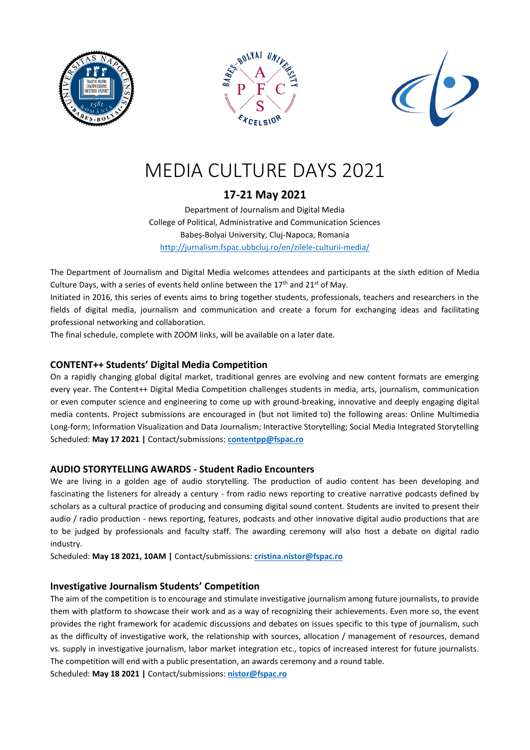





# MEDIA CULTURE DAYS 2021

## **17-21 May 2021**

Department of Journalism and Digital Media College of Political, Administrative and Communication Sciences Babeș-Bolyai University, Cluj-Napoca, Romania <http://jurnalism.fspac.ubbcluj.ro/en/zilele-culturii-media/>

The Department of Journalism and Digital Media welcomes attendees and participants at the sixth edition of Media Culture Days, with a series of events held online between the 17<sup>th</sup> and 21<sup>st</sup> of May.

Initiated in 2016, this series of events aims to bring together students, professionals, teachers and researchers in the fields of digital media, journalism and communication and create a forum for exchanging ideas and facilitating professional networking and collaboration.

The final schedule, complete with ZOOM links, will be available on a later date.

## **CONTENT++ Students' Digital Media Competition**

On a rapidly changing global digital market, traditional genres are evolving and new content formats are emerging every year. The Content++ Digital Media Competition challenges students in media, arts, journalism, communication or even computer science and engineering to come up with ground-breaking, innovative and deeply engaging digital media contents. Project submissions are encouraged in (but not limited to) the following areas: Online Multimedia Long-form; Information Visualization and Data Journalism; Interactive Storytelling; Social Media Integrated Storytelling Scheduled: **May 17 2021 |** Contact/submissions: **[contentpp@fspac.ro](mailto:contentpp@fspac.ro)**

## **AUDIO STORYTELLING AWARDS - Student Radio Encounters**

We are living in a golden age of audio storytelling. The production of audio content has been developing and fascinating the listeners for already a century - from radio news reporting to creative narrative podcasts defined by scholars as a cultural practice of producing and consuming digital sound content. Students are invited to present their audio / radio production - news reporting, features, podcasts and other innovative digital audio productions that are to be judged by professionals and faculty staff. The awarding ceremony will also host a debate on digital radio industry.

Scheduled: **May 18 2021, 10AM |** Contact/submissions: **[cristina.nistor@fspac.ro](mailto:cristina.nistor@fspac.ro)**

## **Investigative Journalism Students' Competition**

The aim of the competition is to encourage and stimulate investigative journalism among future journalists, to provide them with platform to showcase their work and as a way of recognizing their achievements. Even more so, the event provides the right framework for academic discussions and debates on issues specific to this type of journalism, such as the difficulty of investigative work, the relationship with sources, allocation / management of resources, demand vs. supply in investigative journalism, labor market integration etc., topics of increased interest for future journalists. The competition will end with a public presentation, an awards ceremony and a round table.

Scheduled: **May 18 2021 |** Contact/submissions: **[nistor@fspac.ro](mailto:nistor@fspac.ro)**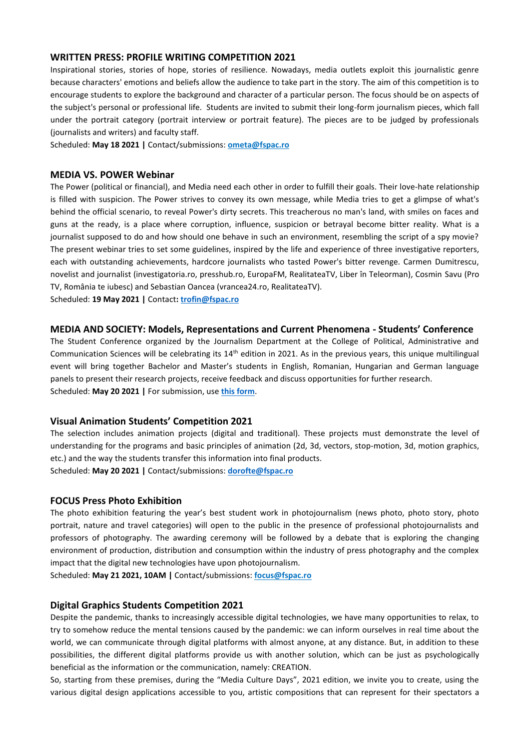#### **WRITTEN PRESS: PROFILE WRITING COMPETITION 2021**

Inspirational stories, stories of hope, stories of resilience. Nowadays, media outlets exploit this journalistic genre because characters' emotions and beliefs allow the audience to take part in the story. The aim of this competition is to encourage students to explore the background and character of a particular person. The focus should be on aspects of the subject's personal or professional life. Students are invited to submit their long-form journalism pieces, which fall under the portrait category (portrait interview or portrait feature). The pieces are to be judged by professionals (journalists and writers) and faculty staff.

Scheduled: **May 18 2021 |** Contact/submissions: **ometa@fspac.ro**

#### **MEDIA VS. POWER Webinar**

The Power (political or financial), and Media need each other in order to fulfill their goals. Their love-hate relationship is filled with suspicion. The Power strives to convey its own message, while Media tries to get a glimpse of what's behind the official scenario, to reveal Power's dirty secrets. This treacherous no man's land, with smiles on faces and guns at the ready, is a place where corruption, influence, suspicion or betrayal become bitter reality. What is a journalist supposed to do and how should one behave in such an environment, resembling the script of a spy movie? The present webinar tries to set some guidelines, inspired by the life and experience of three investigative reporters, each with outstanding achievements, hardcore journalists who tasted Power's bitter revenge. Carmen Dumitrescu, novelist and journalist (investigatoria.ro, presshub.ro, EuropaFM, RealitateaTV, Liber în Teleorman), Cosmin Savu (Pro TV, România te iubesc) and Sebastian Oancea (vrancea24.ro, RealitateaTV).

Scheduled: **19 May 2021 |** Contact**: [trofin@fspac.ro](mailto:trofin@fspac.ro)**

#### **MEDIA AND SOCIETY: Models, Representations and Current Phenomena - Students' Conference**

The Student Conference organized by the Journalism Department at the College of Political, Administrative and Communication Sciences will be celebrating its 14<sup>th</sup> edition in 2021. As in the previous years, this unique multilingual event will bring together Bachelor and Master's students in English, Romanian, Hungarian and German language panels to present their research projects, receive feedback and discuss opportunities for further research. Scheduled: **May 20 2021 |** For submission, use **[this form](https://forms.office.com/r/2mHCxgngMj)**.

#### **Visual Animation Students' Competition 2021**

The selection includes animation projects (digital and traditional). These projects must demonstrate the level of understanding for the programs and basic principles of animation (2d, 3d, vectors, stop-motion, 3d, motion graphics, etc.) and the way the students transfer this information into final products. Scheduled: **May 20 2021 |** Contact/submissions: **[dorofte@fspac.ro](mailto:dorofte@fspac.ro)**

#### **FOCUS Press Photo Exhibition**

The photo exhibition featuring the year's best student work in photojournalism (news photo, photo story, photo portrait, nature and travel categories) will open to the public in the presence of professional photojournalists and professors of photography. The awarding ceremony will be followed by a debate that is exploring the changing environment of production, distribution and consumption within the industry of press photography and the complex impact that the digital new technologies have upon photojournalism.

Scheduled: **May 21 2021, 10AM |** Contact/submissions: **focus@fspac.ro**

#### **Digital Graphics Students Competition 2021**

Despite the pandemic, thanks to increasingly accessible digital technologies, we have many opportunities to relax, to try to somehow reduce the mental tensions caused by the pandemic: we can inform ourselves in real time about the world, we can communicate through digital platforms with almost anyone, at any distance. But, in addition to these possibilities, the different digital platforms provide us with another solution, which can be just as psychologically beneficial as the information or the communication, namely: CREATION.

So, starting from these premises, during the "Media Culture Days", 2021 edition, we invite you to create, using the various digital design applications accessible to you, artistic compositions that can represent for their spectators a